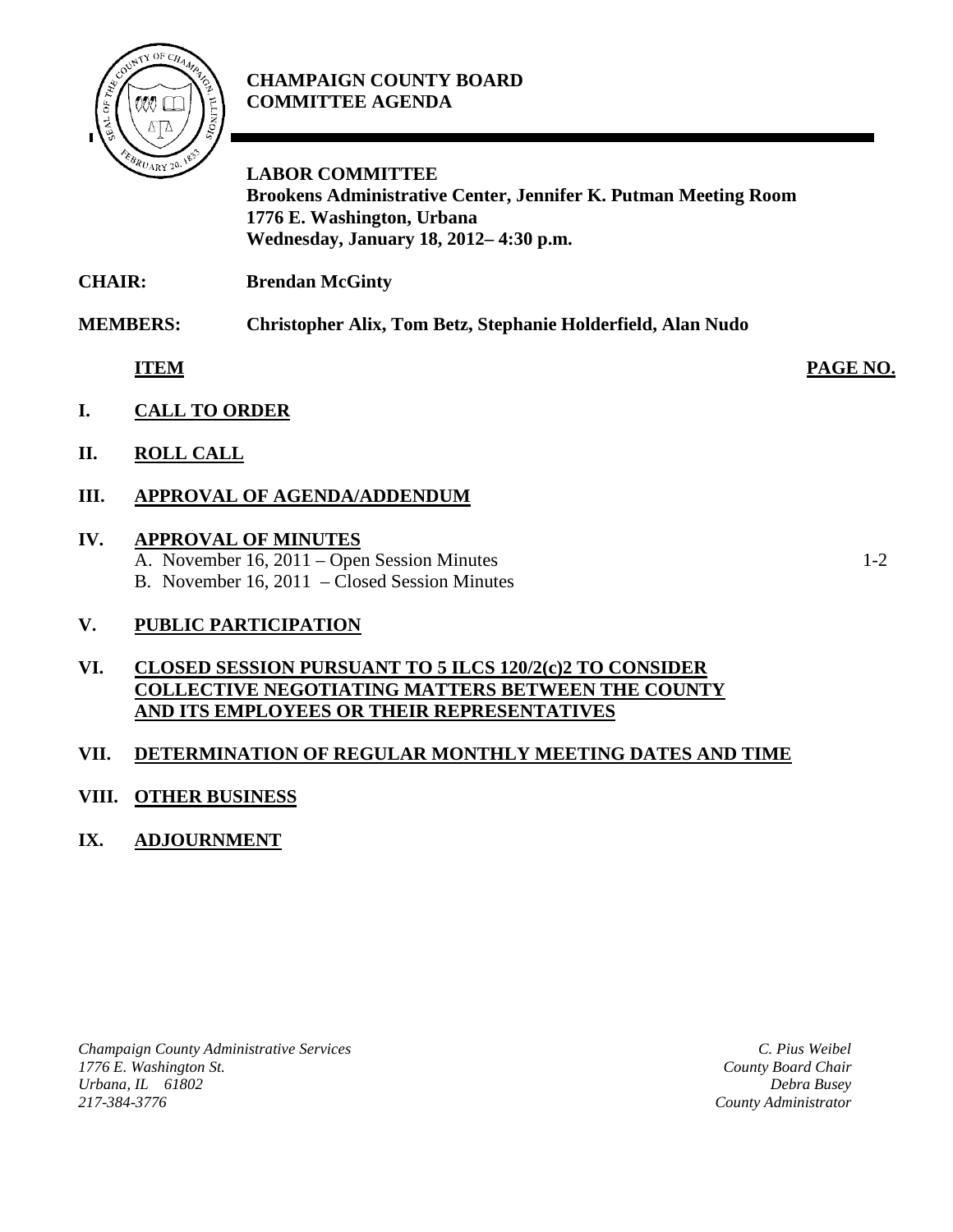

## **CHAMPAIGN COUNTY BOARD COMMITTEE AGENDA**

**LABOR COMMITTEE Brookens Administrative Center, Jennifer K. Putman Meeting Room 1776 E. Washington, Urbana Wednesday, January 18, 2012– 4:30 p.m.**

**CHAIR: Brendan McGinty**

**MEMBERS: Christopher Alix, Tom Betz, Stephanie Holderfield, Alan Nudo**

- **ITEM PAGE NO.**
- **I. CALL TO ORDER**
- **II. ROLL CALL**

## **III. APPROVAL OF AGENDA/ADDENDUM**

#### **IV. APPROVAL OF MINUTES**

A. November 16, 2011 – Open Session Minutes 1-2

B. November 16, 2011 – Closed Session Minutes

## **V. PUBLIC PARTICIPATION**

#### **VI. CLOSED SESSION PURSUANT TO 5 ILCS 120/2(c)2 TO CONSIDER COLLECTIVE NEGOTIATING MATTERS BETWEEN THE COUNTY AND ITS EMPLOYEES OR THEIR REPRESENTATIVES**

## **VII. DETERMINATION OF REGULAR MONTHLY MEETING DATES AND TIME**

## **VIII. OTHER BUSINESS**

## **IX. ADJOURNMENT**

*Champaign County Administrative Services 1776 E. Washington St. Urbana, IL 61802 217-384-3776*

*C. Pius Weibel County Board Chair Debra Busey County Administrator*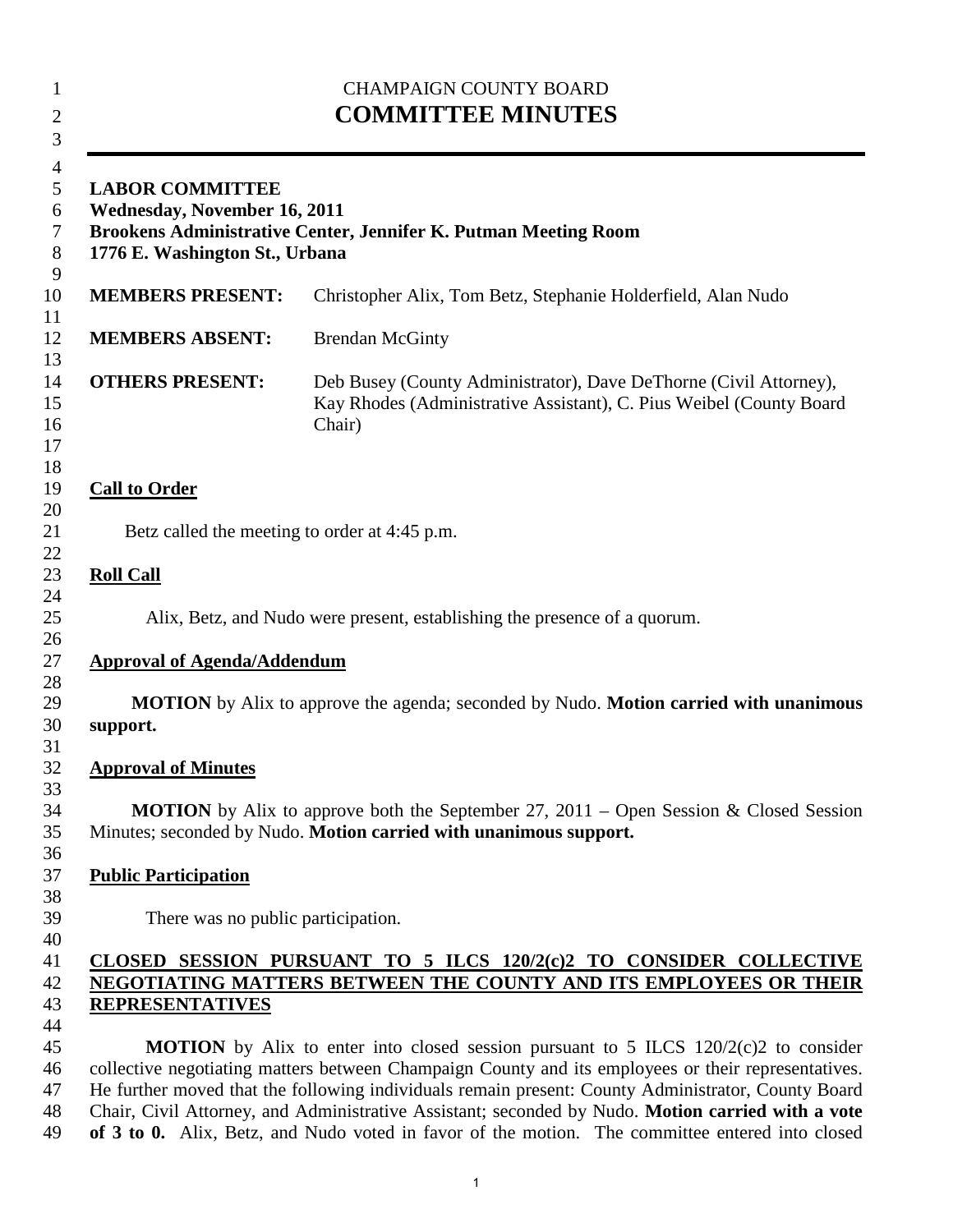| <b>CHAMPAIGN COUNTY BOARD</b><br><b>COMMITTEE MINUTES</b>                                                                                                          |                                                                                                                                                                                                                                                                                                                                                                                                                |  |
|--------------------------------------------------------------------------------------------------------------------------------------------------------------------|----------------------------------------------------------------------------------------------------------------------------------------------------------------------------------------------------------------------------------------------------------------------------------------------------------------------------------------------------------------------------------------------------------------|--|
| <b>LABOR COMMITTEE</b><br><b>Wednesday, November 16, 2011</b><br>Brookens Administrative Center, Jennifer K. Putman Meeting Room<br>1776 E. Washington St., Urbana |                                                                                                                                                                                                                                                                                                                                                                                                                |  |
| <b>MEMBERS PRESENT:</b>                                                                                                                                            | Christopher Alix, Tom Betz, Stephanie Holderfield, Alan Nudo                                                                                                                                                                                                                                                                                                                                                   |  |
| <b>MEMBERS ABSENT:</b>                                                                                                                                             | <b>Brendan McGinty</b>                                                                                                                                                                                                                                                                                                                                                                                         |  |
| <b>OTHERS PRESENT:</b>                                                                                                                                             | Deb Busey (County Administrator), Dave DeThorne (Civil Attorney),<br>Kay Rhodes (Administrative Assistant), C. Pius Weibel (County Board<br>Chair)                                                                                                                                                                                                                                                             |  |
| <b>Call to Order</b>                                                                                                                                               |                                                                                                                                                                                                                                                                                                                                                                                                                |  |
| Betz called the meeting to order at 4:45 p.m.                                                                                                                      |                                                                                                                                                                                                                                                                                                                                                                                                                |  |
| <b>Roll Call</b>                                                                                                                                                   |                                                                                                                                                                                                                                                                                                                                                                                                                |  |
|                                                                                                                                                                    | Alix, Betz, and Nudo were present, establishing the presence of a quorum.                                                                                                                                                                                                                                                                                                                                      |  |
| <b>Approval of Agenda/Addendum</b>                                                                                                                                 |                                                                                                                                                                                                                                                                                                                                                                                                                |  |
| support.                                                                                                                                                           | <b>MOTION</b> by Alix to approve the agenda; seconded by Nudo. <b>Motion carried with unanimous</b>                                                                                                                                                                                                                                                                                                            |  |
| <b>Approval of Minutes</b>                                                                                                                                         |                                                                                                                                                                                                                                                                                                                                                                                                                |  |
|                                                                                                                                                                    | <b>MOTION</b> by Alix to approve both the September 27, 2011 – Open Session & Closed Session<br>Minutes; seconded by Nudo. Motion carried with unanimous support.                                                                                                                                                                                                                                              |  |
| <b>Public Participation</b>                                                                                                                                        |                                                                                                                                                                                                                                                                                                                                                                                                                |  |
| There was no public participation.                                                                                                                                 |                                                                                                                                                                                                                                                                                                                                                                                                                |  |
| <b>REPRESENTATIVES</b>                                                                                                                                             | CLOSED SESSION PURSUANT TO 5 ILCS 120/2(c)2 TO CONSIDER COLLECTIVE<br>NEGOTIATING MATTERS BETWEEN THE COUNTY AND ITS EMPLOYEES OR THEIR                                                                                                                                                                                                                                                                        |  |
|                                                                                                                                                                    | <b>MOTION</b> by Alix to enter into closed session pursuant to 5 ILCS $120/2(c)$ to consider<br>collective negotiating matters between Champaign County and its employees or their representatives.<br>He further moved that the following individuals remain present: County Administrator, County Board<br>Chair, Civil Attorney, and Administrative Assistant; seconded by Nudo. Motion carried with a vote |  |

**of 3 to 0.** Alix, Betz, and Nudo voted in favor of the motion. The committee entered into closed